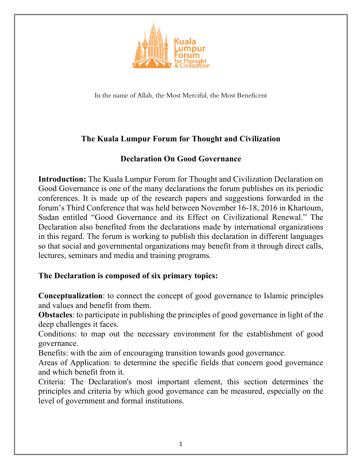

In the name of Allah, the Most Merciful, the Most Beneficent

## **The Kuala Lumpur Forum for Thought and Civilization**

## **Declaration On Good Governance**

**Introduction:** The Kuala Lumpur Forum for Thought and Civilization Declaration on Good Governance is one of the many declarations the forum publishes on its periodic conferences. It is made up of the research papers and suggestions forwarded in the forum's Third Conference that was held between November 16-18, 2016 in Khartoum, Sudan entitled "Good Governance and its Effect on Civilizational Renewal." The Declaration also benefited from the declarations made by international organizations in this regard. The forum is working to publish this declaration in different languages so that social and governmental organizations may benefit from it through direct calls, lectures, seminars and media and training programs.

## **The Declaration is composed of six primary topics:**

**Conceptualization**: to connect the concept of good governance to Islamic principles and values and benefit from them.

**Obstacles**: to participate in publishing the principles of good governance in light of the deep challenges it faces.

Conditions: to map out the necessary environment for the establishment of good governance.

Benefits: with the aim of encouraging transition towards good governance.

Areas of Application: to determine the specific fields that concern good governance and which benefit from it.

Criteria: The Declaration's most important element, this section determines the principles and criteria by which good governance can be measured, especially on the level of government and formal institutions.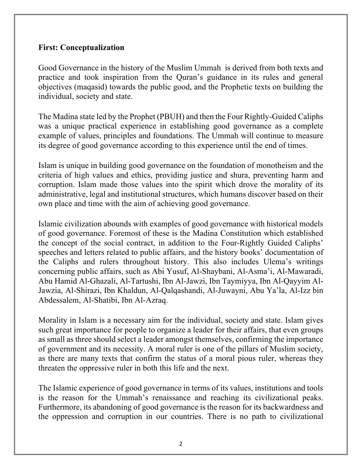## **First: Conceptualization**

Good Governance in the history of the Muslim Ummah is derived from both texts and practice and took inspiration from the Quran's guidance in its rules and general objectives (maqasid) towards the public good, and the Prophetic texts on building the individual, society and state.

The Madina state led by the Prophet (PBUH) and then the Four Rightly-Guided Caliphs was a unique practical experience in establishing good governance as a complete example of values, principles and foundations. The Ummah will continue to measure its degree of good governance according to this experience until the end of times.

Islam is unique in building good governance on the foundation of monotheism and the criteria of high values and ethics, providing justice and shura, preventing harm and corruption. Islam made those values into the spirit which drove the morality of its administrative, legal and institutional structures, which humans discover based on their own place and time with the aim of achieving good governance.

Islamic civilization abounds with examples of good governance with historical models of good governance. Foremost of these is the Madina Constitution which established the concept of the social contract, in addition to the Four-Rightly Guided Caliphs' speeches and letters related to public affairs, and the history books' documentation of the Caliphs and rulers throughout history. This also includes Ulema's writings concerning public affairs, such as Abi Yusuf, Al-Shaybani, Al-Asma'i, Al-Mawaradi, Abu Hamid Al-Ghazali, Al-Tartushi, Ibn Al-Jawzi, Ibn Taymiyya, Ibn Al-Qayyim Al-Jawzia, Al-Shirazi, Ibn Khaldun, Al-Qalqashandi, Al-Juwayni, Abu Ya'la, Al-Izz bin Abdessalem, Al-Shatibi, Ibn Al-Azraq.

Morality in Islam is a necessary aim for the individual, society and state. Islam gives such great importance for people to organize a leader for their affairs, that even groups as small as three should select a leader amongst themselves, confirming the importance of government and its necessity. A moral ruler is one of the pillars of Muslim society, as there are many texts that confirm the status of a moral pious ruler, whereas they threaten the oppressive ruler in both this life and the next.

The Islamic experience of good governance in terms of its values, institutions and tools is the reason for the Ummah's renaissance and reaching its civilizational peaks. Furthermore, its abandoning of good governance is the reason for its backwardness and the oppression and corruption in our countries. There is no path to civilizational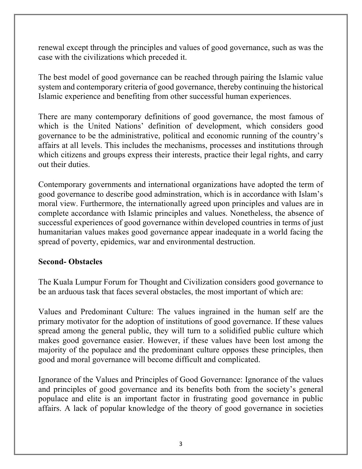renewal except through the principles and values of good governance, such as was the case with the civilizations which preceded it.

The best model of good governance can be reached through pairing the Islamic value system and contemporary criteria of good governance, thereby continuing the historical Islamic experience and benefiting from other successful human experiences.

There are many contemporary definitions of good governance, the most famous of which is the United Nations' definition of development, which considers good governance to be the administrative, political and economic running of the country's affairs at all levels. This includes the mechanisms, processes and institutions through which citizens and groups express their interests, practice their legal rights, and carry out their duties.

Contemporary governments and international organizations have adopted the term of good governance to describe good adminstration, which is in accordance with Islam's moral view. Furthermore, the internationally agreed upon principles and values are in complete accordance with Islamic principles and values. Nonetheless, the absence of successful experiences of good governance within developed countries in terms of just humanitarian values makes good governance appear inadequate in a world facing the spread of poverty, epidemics, war and environmental destruction.

#### **Second- Obstacles**

The Kuala Lumpur Forum for Thought and Civilization considers good governance to be an arduous task that faces several obstacles, the most important of which are:

Values and Predominant Culture: The values ingrained in the human self are the primary motivator for the adoption of institutions of good governance. If these values spread among the general public, they will turn to a solidified public culture which makes good governance easier. However, if these values have been lost among the majority of the populace and the predominant culture opposes these principles, then good and moral governance will become difficult and complicated.

Ignorance of the Values and Principles of Good Governance: Ignorance of the values and principles of good governance and its benefits both from the society's general populace and elite is an important factor in frustrating good governance in public affairs. A lack of popular knowledge of the theory of good governance in societies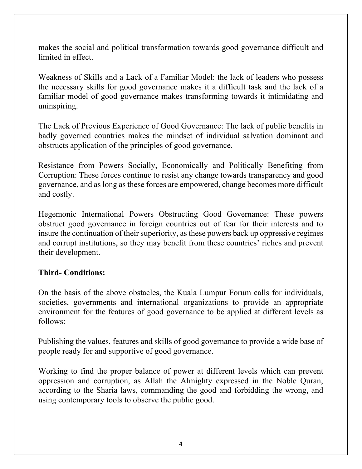makes the social and political transformation towards good governance difficult and limited in effect.

Weakness of Skills and a Lack of a Familiar Model: the lack of leaders who possess the necessary skills for good governance makes it a difficult task and the lack of a familiar model of good governance makes transforming towards it intimidating and uninspiring.

The Lack of Previous Experience of Good Governance: The lack of public benefits in badly governed countries makes the mindset of individual salvation dominant and obstructs application of the principles of good governance.

Resistance from Powers Socially, Economically and Politically Benefiting from Corruption: These forces continue to resist any change towards transparency and good governance, and as long as these forces are empowered, change becomes more difficult and costly.

Hegemonic International Powers Obstructing Good Governance: These powers obstruct good governance in foreign countries out of fear for their interests and to insure the continuation of their superiority, as these powers back up oppressive regimes and corrupt institutions, so they may benefit from these countries' riches and prevent their development.

#### **Third- Conditions:**

On the basis of the above obstacles, the Kuala Lumpur Forum calls for individuals, societies, governments and international organizations to provide an appropriate environment for the features of good governance to be applied at different levels as follows:

Publishing the values, features and skills of good governance to provide a wide base of people ready for and supportive of good governance.

Working to find the proper balance of power at different levels which can prevent oppression and corruption, as Allah the Almighty expressed in the Noble Quran, according to the Sharia laws, commanding the good and forbidding the wrong, and using contemporary tools to observe the public good.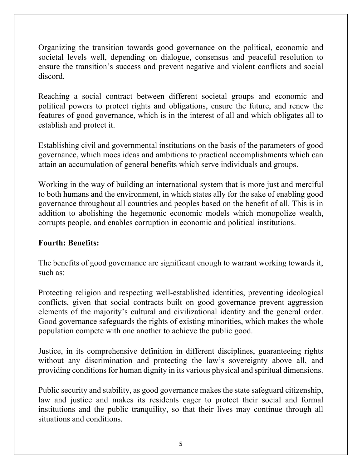Organizing the transition towards good governance on the political, economic and societal levels well, depending on dialogue, consensus and peaceful resolution to ensure the transition's success and prevent negative and violent conflicts and social discord.

Reaching a social contract between different societal groups and economic and political powers to protect rights and obligations, ensure the future, and renew the features of good governance, which is in the interest of all and which obligates all to establish and protect it.

Establishing civil and governmental institutions on the basis of the parameters of good governance, which moes ideas and ambitions to practical accomplishments which can attain an accumulation of general benefits which serve individuals and groups.

Working in the way of building an international system that is more just and merciful to both humans and the environment, in which states ally for the sake of enabling good governance throughout all countries and peoples based on the benefit of all. This is in addition to abolishing the hegemonic economic models which monopolize wealth, corrupts people, and enables corruption in economic and political institutions.

# **Fourth: Benefits:**

The benefits of good governance are significant enough to warrant working towards it, such as:

Protecting religion and respecting well-established identities, preventing ideological conflicts, given that social contracts built on good governance prevent aggression elements of the majority's cultural and civilizational identity and the general order. Good governance safeguards the rights of existing minorities, which makes the whole population compete with one another to achieve the public good.

Justice, in its comprehensive definition in different disciplines, guaranteeing rights without any discrimination and protecting the law's sovereignty above all, and providing conditions for human dignity in its various physical and spiritual dimensions.

Public security and stability, as good governance makes the state safeguard citizenship, law and justice and makes its residents eager to protect their social and formal institutions and the public tranquility, so that their lives may continue through all situations and conditions.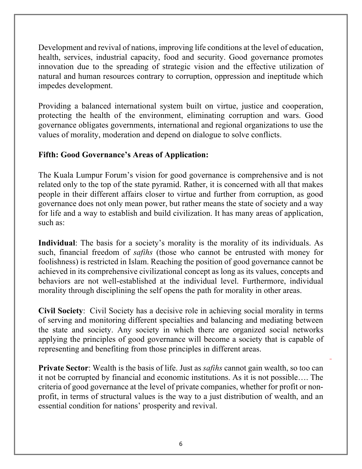Development and revival of nations, improving life conditions at the level of education, health, services, industrial capacity, food and security. Good governance promotes innovation due to the spreading of strategic vision and the effective utilization of natural and human resources contrary to corruption, oppression and ineptitude which impedes development.

Providing a balanced international system built on virtue, justice and cooperation, protecting the health of the environment, eliminating corruption and wars. Good governance obligates governments, international and regional organizations to use the values of morality, moderation and depend on dialogue to solve conflicts.

## **Fifth: Good Governance's Areas of Application:**

The Kuala Lumpur Forum's vision for good governance is comprehensive and is not related only to the top of the state pyramid. Rather, it is concerned with all that makes people in their different affairs closer to virtue and further from corruption, as good governance does not only mean power, but rather means the state of society and a way for life and a way to establish and build civilization. It has many areas of application, such as:

**Individual**: The basis for a society's morality is the morality of its individuals. As such, financial freedom of *safihs* (those who cannot be entrusted with money for foolishness) is restricted in Islam. Reaching the position of good governance cannot be achieved in its comprehensive civilizational concept as long as its values, concepts and behaviors are not well-established at the individual level. Furthermore, individual morality through disciplining the self opens the path for morality in other areas.

**Civil Society**: Civil Society has a decisive role in achieving social morality in terms of serving and monitoring different specialties and balancing and mediating between the state and society. Any society in which there are organized social networks applying the principles of good governance will become a society that is capable of representing and benefiting from those principles in different areas.

**Private Sector**: Wealth is the basis of life. Just as *safihs* cannot gain wealth, so too can it not be corrupted by financial and economic institutions. As it is not possible…. The criteria of good governance at the level of private companies, whether for profit or nonprofit, in terms of structural values is the way to a just distribution of wealth, and an essential condition for nations' prosperity and revival.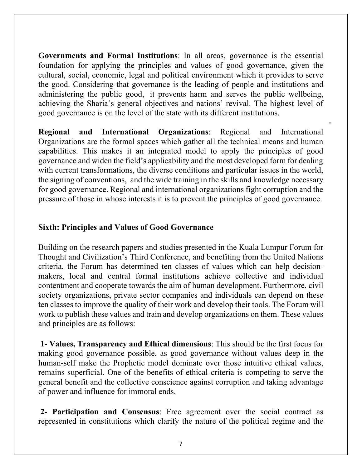**Governments and Formal Institutions**: In all areas, governance is the essential foundation for applying the principles and values of good governance, given the cultural, social, economic, legal and political environment which it provides to serve the good. Considering that governance is the leading of people and institutions and administering the public good, it prevents harm and serves the public wellbeing, achieving the Sharia's general objectives and nations' revival. The highest level of good governance is on the level of the state with its different institutions.

-

**Regional and International Organizations**: Regional and International Organizations are the formal spaces which gather all the technical means and human capabilities. This makes it an integrated model to apply the principles of good governance and widen the field's applicability and the most developed form for dealing with current transformations, the diverse conditions and particular issues in the world, the signing of conventions, and the wide training in the skills and knowledge necessary for good governance. Regional and international organizations fight corruption and the pressure of those in whose interests it is to prevent the principles of good governance.

### **Sixth: Principles and Values of Good Governance**

Building on the research papers and studies presented in the Kuala Lumpur Forum for Thought and Civilization's Third Conference, and benefiting from the United Nations criteria, the Forum has determined ten classes of values which can help decisionmakers, local and central formal institutions achieve collective and individual contentment and cooperate towards the aim of human development. Furthermore, civil society organizations, private sector companies and individuals can depend on these ten classes to improve the quality of their work and develop their tools. The Forum will work to publish these values and train and develop organizations on them. These values and principles are as follows:

**1- Values, Transparency and Ethical dimensions**: This should be the first focus for making good governance possible, as good governance without values deep in the human-self make the Prophetic model dominate over those intuitive ethical values, remains superficial. One of the benefits of ethical criteria is competing to serve the general benefit and the collective conscience against corruption and taking advantage of power and influence for immoral ends.

**2- Participation and Consensus**: Free agreement over the social contract as represented in constitutions which clarify the nature of the political regime and the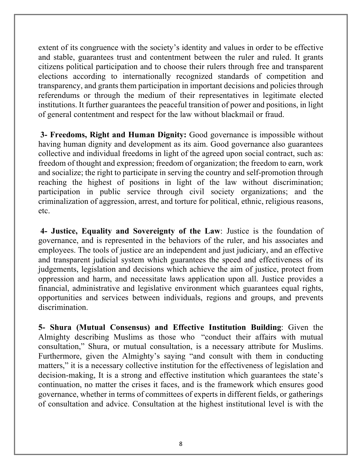extent of its congruence with the society's identity and values in order to be effective and stable, guarantees trust and contentment between the ruler and ruled. It grants citizens political participation and to choose their rulers through free and transparent elections according to internationally recognized standards of competition and transparency, and grants them participation in important decisions and policies through referendums or through the medium of their representatives in legitimate elected institutions. It further guarantees the peaceful transition of power and positions, in light of general contentment and respect for the law without blackmail or fraud.

**3- Freedoms, Right and Human Dignity:** Good governance is impossible without having human dignity and development as its aim. Good governance also guarantees collective and individual freedoms in light of the agreed upon social contract, such as: freedom of thought and expression; freedom of organization; the freedom to earn, work and socialize; the right to participate in serving the country and self-promotion through reaching the highest of positions in light of the law without discrimination; participation in public service through civil society organizations; and the criminalization of aggression, arrest, and torture for political, ethnic, religious reasons, etc.

**4- Justice, Equality and Sovereignty of the Law**: Justice is the foundation of governance, and is represented in the behaviors of the ruler, and his associates and employees. The tools of justice are an independent and just judiciary, and an effective and transparent judicial system which guarantees the speed and effectiveness of its judgements, legislation and decisions which achieve the aim of justice, protect from oppression and harm, and necessitate laws application upon all. Justice provides a financial, administrative and legislative environment which guarantees equal rights, opportunities and services between individuals, regions and groups, and prevents discrimination.

**5- Shura (Mutual Consensus) and Effective Institution Building**: Given the Almighty describing Muslims as those who "conduct their affairs with mutual consultation," Shura, or mutual consultation, is a necessary attribute for Muslims. Furthermore, given the Almighty's saying "and consult with them in conducting matters," it is a necessary collective institution for the effectiveness of legislation and decision-making, It is a strong and effective institution which guarantees the state's continuation, no matter the crises it faces, and is the framework which ensures good governance, whether in terms of committees of experts in different fields, or gatherings of consultation and advice. Consultation at the highest institutional level is with the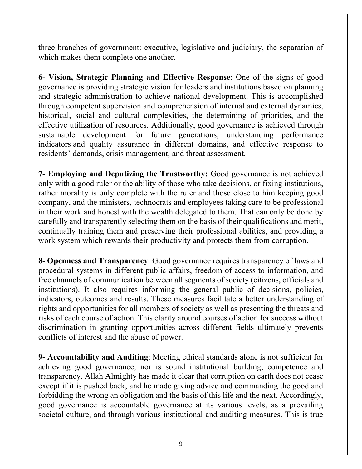three branches of government: executive, legislative and judiciary, the separation of which makes them complete one another.

**6- Vision, Strategic Planning and Effective Response**: One of the signs of good governance is providing strategic vision for leaders and institutions based on planning and strategic administration to achieve national development. This is accomplished through competent supervision and comprehension of internal and external dynamics, historical, social and cultural complexities, the determining of priorities, and the effective utilization of resources. Additionally, good governance is achieved through sustainable development for future generations, understanding performance indicators and quality assurance in different domains, and effective response to residents' demands, crisis management, and threat assessment.

**7- Employing and Deputizing the Trustworthy:** Good governance is not achieved only with a good ruler or the ability of those who take decisions, or fixing institutions, rather morality is only complete with the ruler and those close to him keeping good company, and the ministers, technocrats and employees taking care to be professional in their work and honest with the wealth delegated to them. That can only be done by carefully and transparently selecting them on the basis of their qualifications and merit, continually training them and preserving their professional abilities, and providing a work system which rewards their productivity and protects them from corruption.

**8- Openness and Transparency**: Good governance requires transparency of laws and procedural systems in different public affairs, freedom of access to information, and free channels of communication between all segments of society (citizens, officials and institutions). It also requires informing the general public of decisions, policies, indicators, outcomes and results. These measures facilitate a better understanding of rights and opportunities for all members of society as well as presenting the threats and risks of each course of action. This clarity around courses of action for success without discrimination in granting opportunities across different fields ultimately prevents conflicts of interest and the abuse of power.

**9- Accountability and Auditing**: Meeting ethical standards alone is not sufficient for achieving good governance, nor is sound institutional building, competence and transparency. Allah Almighty has made it clear that corruption on earth does not cease except if it is pushed back, and he made giving advice and commanding the good and forbidding the wrong an obligation and the basis of this life and the next. Accordingly, good governance is accountable governance at its various levels, as a prevailing societal culture, and through various institutional and auditing measures. This is true